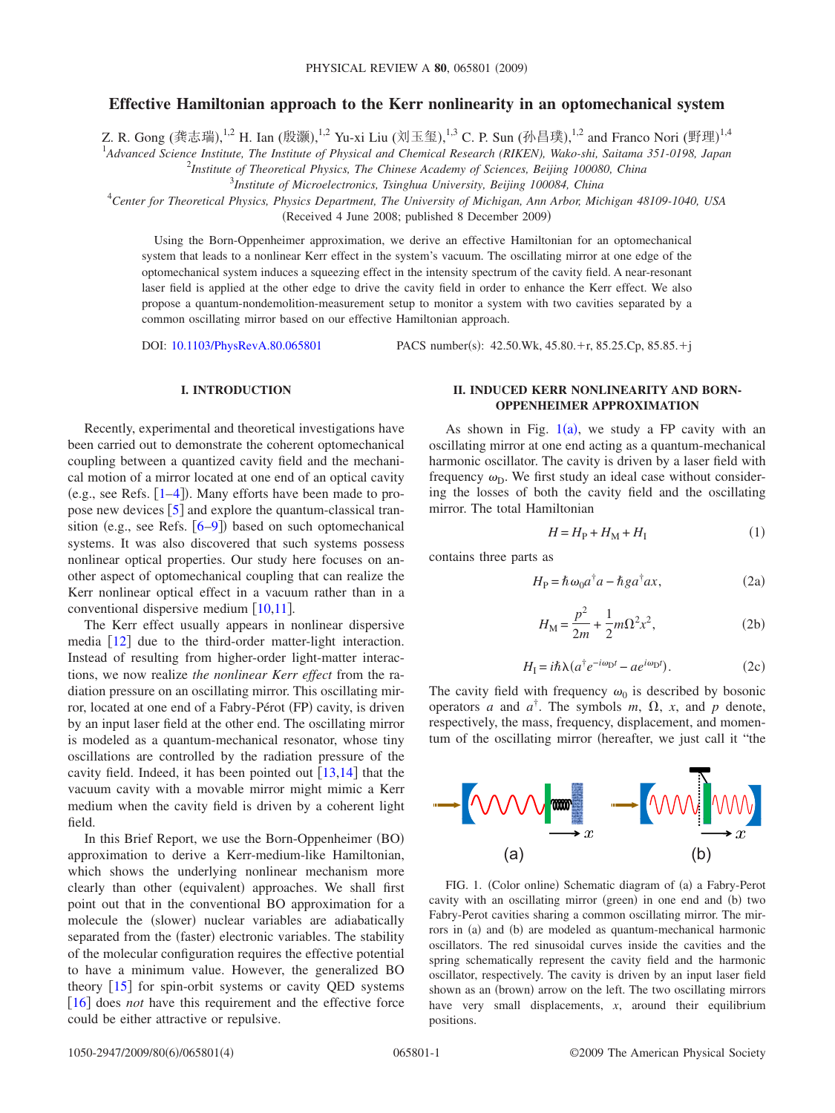# **Effective Hamiltonian approach to the Kerr nonlinearity in an optomechanical system**

Z. R. Gong (龚志瑞), $^{1,2}$  H. Ian (殷灏), $^{1,2}$  Yu-xi Liu (刘玉玺), $^{1,3}$  C. P. Sun (孙昌璞), $^{1,2}$  and Franco Nori (野理) $^{1,4}$ 

1 *Advanced Science Institute, The Institute of Physical and Chemical Research (RIKEN), Wako-shi, Saitama 351-0198, Japan*

2 *Institute of Theoretical Physics, The Chinese Academy of Sciences, Beijing 100080, China*

3 *Institute of Microelectronics, Tsinghua University, Beijing 100084, China*

4 *Center for Theoretical Physics, Physics Department, The University of Michigan, Ann Arbor, Michigan 48109-1040, USA*

(Received 4 June 2008; published 8 December 2009)

Using the Born-Oppenheimer approximation, we derive an effective Hamiltonian for an optomechanical system that leads to a nonlinear Kerr effect in the system's vacuum. The oscillating mirror at one edge of the optomechanical system induces a squeezing effect in the intensity spectrum of the cavity field. A near-resonant laser field is applied at the other edge to drive the cavity field in order to enhance the Kerr effect. We also propose a quantum-nondemolition-measurement setup to monitor a system with two cavities separated by a common oscillating mirror based on our effective Hamiltonian approach.

DOI: [10.1103/PhysRevA.80.065801](http://dx.doi.org/10.1103/PhysRevA.80.065801)

PACS number(s):  $42.50$ .Wk,  $45.80$ .+r,  $85.25$ .Cp,  $85.85$ .+j

### **I. INTRODUCTION**

Recently, experimental and theoretical investigations have been carried out to demonstrate the coherent optomechanical coupling between a quantized cavity field and the mechanical motion of a mirror located at one end of an optical cavity (e.g., see Refs.  $[1-4]$  $[1-4]$  $[1-4]$ ). Many efforts have been made to propose new devices  $\begin{bmatrix} 5 \end{bmatrix}$  $\begin{bmatrix} 5 \end{bmatrix}$  $\begin{bmatrix} 5 \end{bmatrix}$  and explore the quantum-classical transition (e.g., see Refs.  $[6-9]$  $[6-9]$  $[6-9]$ ) based on such optomechanical systems. It was also discovered that such systems possess nonlinear optical properties. Our study here focuses on another aspect of optomechanical coupling that can realize the Kerr nonlinear optical effect in a vacuum rather than in a conventional dispersive medium  $\lceil 10,11 \rceil$  $\lceil 10,11 \rceil$  $\lceil 10,11 \rceil$  $\lceil 10,11 \rceil$ .

The Kerr effect usually appears in nonlinear dispersive media  $\lceil 12 \rceil$  $\lceil 12 \rceil$  $\lceil 12 \rceil$  due to the third-order matter-light interaction. Instead of resulting from higher-order light-matter interactions, we now realize *the nonlinear Kerr effect* from the radiation pressure on an oscillating mirror. This oscillating mirror, located at one end of a Fabry-Pérot (FP) cavity, is driven by an input laser field at the other end. The oscillating mirror is modeled as a quantum-mechanical resonator, whose tiny oscillations are controlled by the radiation pressure of the cavity field. Indeed, it has been pointed out  $\lceil 13,14 \rceil$  $\lceil 13,14 \rceil$  $\lceil 13,14 \rceil$  $\lceil 13,14 \rceil$  that the vacuum cavity with a movable mirror might mimic a Kerr medium when the cavity field is driven by a coherent light field.

In this Brief Report, we use the Born-Oppenheimer (BO) approximation to derive a Kerr-medium-like Hamiltonian, which shows the underlying nonlinear mechanism more clearly than other (equivalent) approaches. We shall first point out that in the conventional BO approximation for a molecule the (slower) nuclear variables are adiabatically separated from the (faster) electronic variables. The stability of the molecular configuration requires the effective potential to have a minimum value. However, the generalized BO theory  $\lceil 15 \rceil$  $\lceil 15 \rceil$  $\lceil 15 \rceil$  for spin-orbit systems or cavity QED systems [[16](#page-3-11)] does *not* have this requirement and the effective force could be either attractive or repulsive.

## **II. INDUCED KERR NONLINEARITY AND BORN-OPPENHEIMER APPROXIMATION**

As shown in Fig.  $1(a)$  $1(a)$ , we study a FP cavity with an oscillating mirror at one end acting as a quantum-mechanical harmonic oscillator. The cavity is driven by a laser field with frequency  $\omega_{\text{D}}$ . We first study an ideal case without considering the losses of both the cavity field and the oscillating mirror. The total Hamiltonian

$$
H = H_{\rm P} + H_{\rm M} + H_{\rm I}
$$
 (1)

<span id="page-0-2"></span><span id="page-0-1"></span>contains three parts as

$$
H_{\rm P} = \hbar \omega_0 a^\dagger a - \hbar g a^\dagger a x,\tag{2a}
$$

$$
H_{\rm M} = \frac{p^2}{2m} + \frac{1}{2}m\Omega^2 x^2,
$$
 (2b)

$$
H_{\rm I} = i\hbar\lambda (a^{\dagger}e^{-i\omega_{\rm D}t} - ae^{i\omega_{\rm D}t}). \tag{2c}
$$

The cavity field with frequency  $\omega_0$  is described by bosonic operators *a* and  $a^{\dagger}$ . The symbols *m*,  $\Omega$ , *x*, and *p* denote, respectively, the mass, frequency, displacement, and momentum of the oscillating mirror (hereafter, we just call it "the

<span id="page-0-0"></span>

FIG. 1. (Color online) Schematic diagram of (a) a Fabry-Perot cavity with an oscillating mirror (green) in one end and (b) two Fabry-Perot cavities sharing a common oscillating mirror. The mirrors in (a) and (b) are modeled as quantum-mechanical harmonic oscillators. The red sinusoidal curves inside the cavities and the spring schematically represent the cavity field and the harmonic oscillator, respectively. The cavity is driven by an input laser field shown as an (brown) arrow on the left. The two oscillating mirrors have very small displacements, *x*, around their equilibrium positions.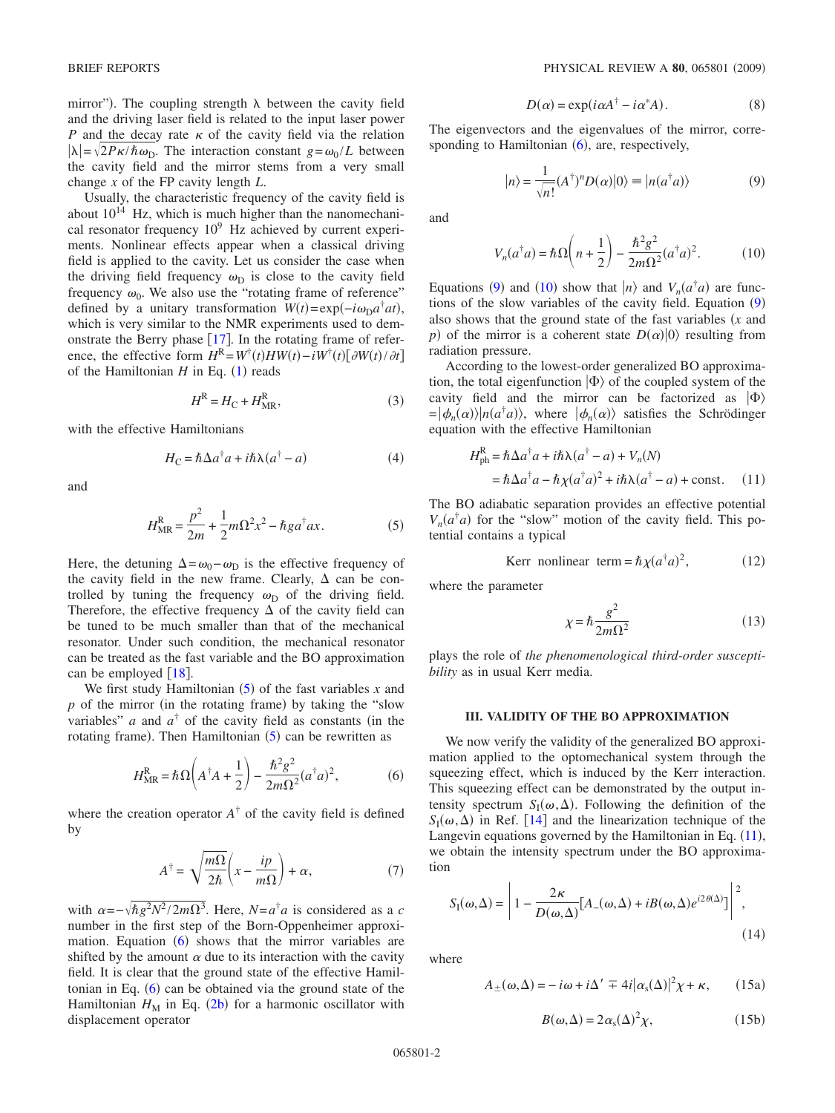mirror"). The coupling strength  $\lambda$  between the cavity field and the driving laser field is related to the input laser power *P* and the decay rate  $\kappa$  of the cavity field via the relation  $|\lambda| = \sqrt{2P\kappa/\hbar\omega_D}$ . The interaction constant  $g = \omega_0/L$  between the cavity field and the mirror stems from a very small change *x* of the FP cavity length *L*.

Usually, the characteristic frequency of the cavity field is about  $10^{14}$  Hz, which is much higher than the nanomechanical resonator frequency  $10^9$  Hz achieved by current experiments. Nonlinear effects appear when a classical driving field is applied to the cavity. Let us consider the case when the driving field frequency  $\omega_{\text{D}}$  is close to the cavity field frequency  $\omega_0$ . We also use the "rotating frame of reference" defined by a unitary transformation  $W(t) = \exp(-i\omega_D a^{\dagger}at)$ , which is very similar to the NMR experiments used to demonstrate the Berry phase  $[17]$  $[17]$  $[17]$ . In the rotating frame of reference, the effective form  $H^R = W^{\dagger}(t)HW(t) - iW^{\dagger}(t)[\partial W(t)/\partial t]$ of the Hamiltonian  $H$  in Eq.  $(1)$  $(1)$  $(1)$  reads

$$
H^R = H_C + H_{MR}^R,\tag{3}
$$

<span id="page-1-5"></span>with the effective Hamiltonians

$$
H_C = \hbar \Delta a^{\dagger} a + i\hbar \lambda (a^{\dagger} - a)
$$
 (4)

<span id="page-1-0"></span>and

$$
H_{\text{MR}}^{\text{R}} = \frac{p^2}{2m} + \frac{1}{2}m\Omega^2 x^2 - \hbar g a^{\dagger} a x. \tag{5}
$$

Here, the detuning  $\Delta = \omega_0 - \omega_D$  is the effective frequency of the cavity field in the new frame. Clearly,  $\Delta$  can be controlled by tuning the frequency  $\omega_D$  of the driving field. Therefore, the effective frequency  $\Delta$  of the cavity field can be tuned to be much smaller than that of the mechanical resonator. Under such condition, the mechanical resonator can be treated as the fast variable and the BO approximation can be employed  $\lceil 18 \rceil$  $\lceil 18 \rceil$  $\lceil 18 \rceil$ .

We first study Hamiltonian  $(5)$  $(5)$  $(5)$  of the fast variables *x* and  $p$  of the mirror (in the rotating frame) by taking the "slow variables" *a* and  $a^{\dagger}$  of the cavity field as constants (in the rotating frame). Then Hamiltonian  $(5)$  $(5)$  $(5)$  can be rewritten as

$$
H_{\text{MR}}^{\text{R}} = \hbar \Omega \bigg( A^{\dagger} A + \frac{1}{2} \bigg) - \frac{\hbar^2 g^2}{2m \Omega^2} (a^{\dagger} a)^2, \tag{6}
$$

<span id="page-1-1"></span>where the creation operator  $A^{\dagger}$  of the cavity field is defined by

$$
A^{\dagger} = \sqrt{\frac{m\Omega}{2\hbar}} \left( x - \frac{ip}{m\Omega} \right) + \alpha, \tag{7}
$$

with  $\alpha = -\sqrt{\hbar g^2 N^2 / 2m\Omega^3}$ . Here,  $N = a^{\dagger} a$  is considered as a *c* number in the first step of the Born-Oppenheimer approximation. Equation  $(6)$  $(6)$  $(6)$  shows that the mirror variables are shifted by the amount  $\alpha$  due to its interaction with the cavity field. It is clear that the ground state of the effective Hamiltonian in Eq.  $(6)$  $(6)$  $(6)$  can be obtained via the ground state of the Hamiltonian  $H_M$  in Eq. ([2b](#page-0-2)) for a harmonic oscillator with displacement operator

$$
D(\alpha) = \exp(i\alpha A^{\dagger} - i\alpha^* A). \tag{8}
$$

<span id="page-1-2"></span>The eigenvectors and the eigenvalues of the mirror, corresponding to Hamiltonian  $(6)$  $(6)$  $(6)$ , are, respectively,

$$
|n\rangle = \frac{1}{\sqrt{n!}} (A^{\dagger})^n D(\alpha)|0\rangle \equiv |n(a^{\dagger} a)\rangle \tag{9}
$$

<span id="page-1-3"></span>and

$$
V_n(a^{\dagger}a) = \hbar\Omega\left(n + \frac{1}{2}\right) - \frac{\hbar^2 g^2}{2m\Omega^2}(a^{\dagger}a)^2.
$$
 (10)

Equations ([9](#page-1-2)) and ([10](#page-1-3)) show that  $|n\rangle$  and  $V_n(a^{\dagger}a)$  are func-tions of the slow variables of the cavity field. Equation ([9](#page-1-2)) also shows that the ground state of the fast variables  $(x \text{ and } y \text{)}$ *p*) of the mirror is a coherent state  $D(\alpha)|0\rangle$  resulting from radiation pressure.

According to the lowest-order generalized BO approximation, the total eigenfunction  $|\Phi\rangle$  of the coupled system of the cavity field and the mirror can be factorized as  $|\Phi\rangle$  $= |\phi_n(\alpha)\rangle |n(a^{\dagger}a)\rangle$ , where  $|\phi_n(\alpha)\rangle$  satisfies the Schrödinger equation with the effective Hamiltonian

<span id="page-1-4"></span>
$$
H_{\text{ph}}^{\text{R}} = \hbar \Delta a^{\dagger} a + i\hbar \lambda (a^{\dagger} - a) + V_n(N)
$$
  
=  $\hbar \Delta a^{\dagger} a - \hbar \chi (a^{\dagger} a)^2 + i\hbar \lambda (a^{\dagger} - a) + \text{const.}$  (11)

The BO adiabatic separation provides an effective potential  $V_n(a^{\dagger}a)$  for the "slow" motion of the cavity field. This potential contains a typical

Kerr nonlinear term = 
$$
\hbar \chi (a^{\dagger} a)^2
$$
, (12)

where the parameter

$$
\chi = \hbar \frac{g^2}{2m\Omega^2} \tag{13}
$$

plays the role of *the phenomenological third-order susceptibility* as in usual Kerr media.

#### **III. VALIDITY OF THE BO APPROXIMATION**

We now verify the validity of the generalized BO approximation applied to the optomechanical system through the squeezing effect, which is induced by the Kerr interaction. This squeezing effect can be demonstrated by the output intensity spectrum  $S_I(\omega, \Delta)$ . Following the definition of the  $S_I(\omega, \Delta)$  in Ref. [[14](#page-3-9)] and the linearization technique of the Langevin equations governed by the Hamiltonian in Eq.  $(11)$  $(11)$  $(11)$ , we obtain the intensity spectrum under the BO approximation

<span id="page-1-7"></span>
$$
S_{\rm I}(\omega,\Delta) = \left| 1 - \frac{2\kappa}{D(\omega,\Delta)} [A_{-}(\omega,\Delta) + iB(\omega,\Delta)e^{i2\theta(\Delta)}] \right|^2,
$$
\n(14)

<span id="page-1-6"></span>where

$$
A_{\pm}(\omega,\Delta) = -i\omega + i\Delta' \mp 4i|\alpha_{s}(\Delta)|^{2}\chi + \kappa, \qquad (15a)
$$

$$
B(\omega, \Delta) = 2\alpha_s(\Delta)^2 \chi,\tag{15b}
$$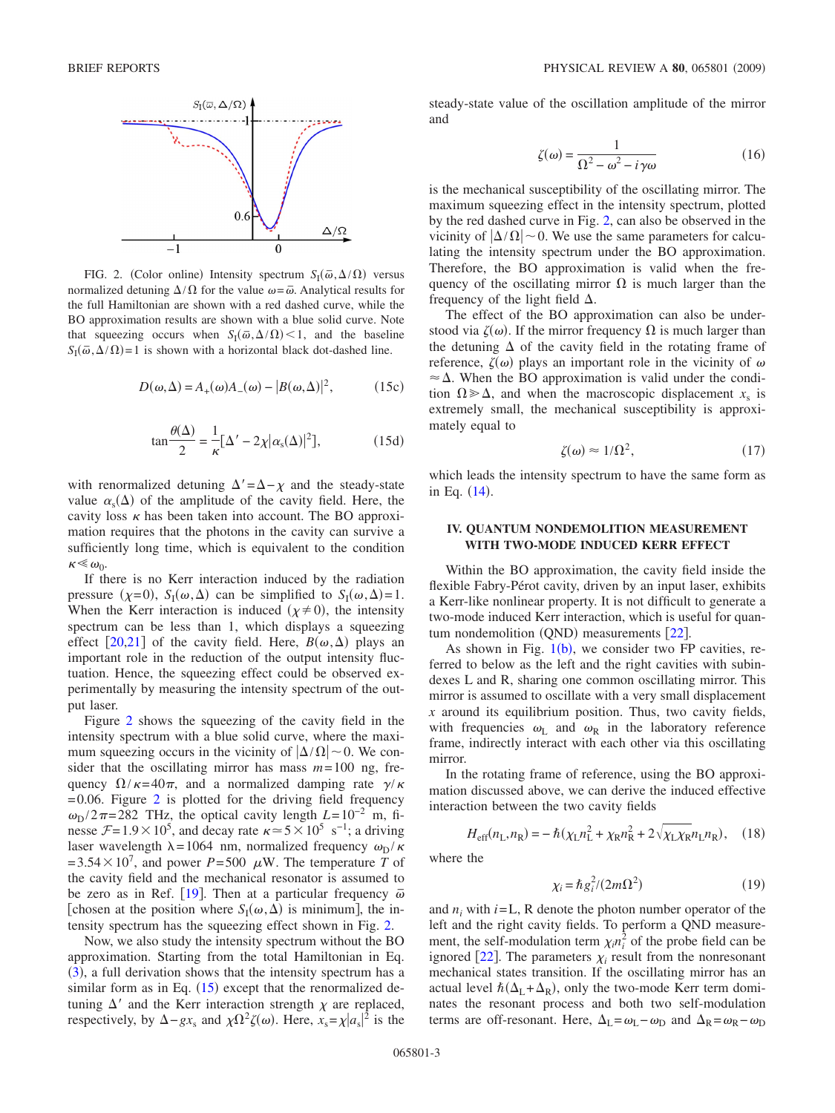<span id="page-2-0"></span>

FIG. 2. (Color online) Intensity spectrum  $S_I(\bar{\omega}, \Delta/\Omega)$  versus normalized detuning  $\Delta/\Omega$  for the value  $\omega = \overline{\omega}$ . Analytical results for the full Hamiltonian are shown with a red dashed curve, while the BO approximation results are shown with a blue solid curve. Note that squeezing occurs when  $S_I(\bar{\omega}, \Delta/\Omega)$  < 1, and the baseline  $S_I(\vec{\omega}, \vec{\Delta}/\Omega) = 1$  is shown with a horizontal black dot-dashed line.

$$
D(\omega, \Delta) = A_{+}(\omega)A_{-}(\omega) - |B(\omega, \Delta)|^{2}, \quad (15c)
$$

$$
\tan\frac{\theta(\Delta)}{2} = \frac{1}{\kappa} [\Delta' - 2\chi | \alpha_{\rm s}(\Delta) |^2],\tag{15d}
$$

with renormalized detuning  $\Delta' = \Delta - \chi$  and the steady-state value  $\alpha_s(\Delta)$  of the amplitude of the cavity field. Here, the cavity loss  $\kappa$  has been taken into account. The BO approximation requires that the photons in the cavity can survive a sufficiently long time, which is equivalent to the condition  $\kappa \ll \omega_0$ .

If there is no Kerr interaction induced by the radiation pressure  $(\chi=0)$ ,  $S_I(\omega,\Delta)$  can be simplified to  $S_I(\omega,\Delta)=1$ . When the Kerr interaction is induced  $(\chi \neq 0)$ , the intensity spectrum can be less than 1, which displays a squeezing effect [[20](#page-3-14)[,21](#page-3-15)] of the cavity field. Here,  $B(\omega, \Delta)$  plays an important role in the reduction of the output intensity fluctuation. Hence, the squeezing effect could be observed experimentally by measuring the intensity spectrum of the output laser.

Figure [2](#page-2-0) shows the squeezing of the cavity field in the intensity spectrum with a blue solid curve, where the maximum squeezing occurs in the vicinity of  $|\Delta/\Omega|$  ~ 0. We consider that the oscillating mirror has mass  $m=100$  ng, frequency  $\Omega/\kappa=40\pi$ , and a normalized damping rate  $\gamma/\kappa$  $=0.06$ . Figure [2](#page-2-0) is plotted for the driving field frequency  $\omega_{\text{D}}/2\pi$ =282 THz, the optical cavity length *L*=10<sup>-2</sup> m, finesse  $\mathcal{F} = 1.9 \times 10^5$ , and decay rate  $\kappa \approx 5 \times 10^5$  s<sup>-1</sup>; a driving laser wavelength  $\lambda = 1064$  nm, normalized frequency  $\omega_{\rm D} / \kappa$  $=3.54\times10^7$ , and power *P*=500  $\mu$ W. The temperature *T* of the cavity field and the mechanical resonator is assumed to be zero as in Ref. [[19](#page-3-16)]. Then at a particular frequency  $\bar{\omega}$ [chosen at the position where  $S_I(\omega, \Delta)$  is minimum], the intensity spectrum has the squeezing effect shown in Fig. [2.](#page-2-0)

Now, we also study the intensity spectrum without the BO approximation. Starting from the total Hamiltonian in Eq. ([3](#page-1-5)), a full derivation shows that the intensity spectrum has a similar form as in Eq.  $(15)$  $(15)$  $(15)$  except that the renormalized detuning  $\Delta'$  and the Kerr interaction strength  $\chi$  are replaced, respectively, by  $\Delta - gx_s$  and  $\chi \Omega^2 \zeta(\omega)$ . Here,  $x_s = \chi |a_s|^2$  is the

steady-state value of the oscillation amplitude of the mirror and

$$
\zeta(\omega) = \frac{1}{\Omega^2 - \omega^2 - i\gamma\omega} \tag{16}
$$

is the mechanical susceptibility of the oscillating mirror. The maximum squeezing effect in the intensity spectrum, plotted by the red dashed curve in Fig. [2,](#page-2-0) can also be observed in the vicinity of  $|\Delta/\Omega|$  ~ 0. We use the same parameters for calculating the intensity spectrum under the BO approximation. Therefore, the BO approximation is valid when the frequency of the oscillating mirror  $\Omega$  is much larger than the frequency of the light field  $\Delta$ .

The effect of the BO approximation can also be understood via  $\zeta(\omega)$ . If the mirror frequency  $\Omega$  is much larger than the detuning  $\Delta$  of the cavity field in the rotating frame of reference,  $\zeta(\omega)$  plays an important role in the vicinity of  $\omega$  $\approx \Delta$ . When the BO approximation is valid under the condition  $\Omega \gg \Delta$ , and when the macroscopic displacement *x*<sub>s</sub> is extremely small, the mechanical susceptibility is approximately equal to

$$
\zeta(\omega) \approx 1/\Omega^2,\tag{17}
$$

which leads the intensity spectrum to have the same form as in Eq. ([14](#page-1-7)).

## **IV. QUANTUM NONDEMOLITION MEASUREMENT WITH TWO-MODE INDUCED KERR EFFECT**

Within the BO approximation, the cavity field inside the flexible Fabry-Pérot cavity, driven by an input laser, exhibits a Kerr-like nonlinear property. It is not difficult to generate a two-mode induced Kerr interaction, which is useful for quan-tum nondemolition (QND) measurements [[22](#page-3-17)].

As shown in Fig.  $1(b)$  $1(b)$ , we consider two FP cavities, referred to below as the left and the right cavities with subindexes L and R, sharing one common oscillating mirror. This mirror is assumed to oscillate with a very small displacement *x* around its equilibrium position. Thus, two cavity fields, with frequencies  $\omega_L$  and  $\omega_R$  in the laboratory reference frame, indirectly interact with each other via this oscillating mirror.

In the rotating frame of reference, using the BO approximation discussed above, we can derive the induced effective interaction between the two cavity fields

$$
H_{\rm eff}(n_{\rm L}, n_{\rm R}) = -\hbar(\chi_{\rm L}n_{\rm L}^2 + \chi_{\rm R}n_{\rm R}^2 + 2\sqrt{\chi_{\rm L}\chi_{\rm R}}n_{\rm L}n_{\rm R}), \quad (18)
$$

where the

$$
\chi_i = \hbar g_i^2 / (2m\Omega^2) \tag{19}
$$

and  $n_i$  with  $i=L$ , R denote the photon number operator of the left and the right cavity fields. To perform a QND measurement, the self-modulation term  $\chi_i n_i^2$  of the probe field can be ignored [[22](#page-3-17)]. The parameters  $\chi_i$  result from the nonresonant mechanical states transition. If the oscillating mirror has an actual level  $\hbar(\Delta_L + \Delta_R)$ , only the two-mode Kerr term dominates the resonant process and both two self-modulation terms are off-resonant. Here,  $\Delta_{\rm L} = \omega_{\rm L} - \omega_{\rm D}$  and  $\Delta_{\rm R} = \omega_{\rm R} - \omega_{\rm D}$